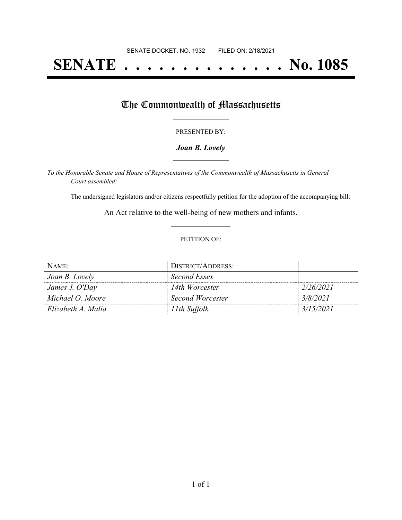# **SENATE . . . . . . . . . . . . . . No. 1085**

## The Commonwealth of Massachusetts

#### PRESENTED BY:

#### *Joan B. Lovely* **\_\_\_\_\_\_\_\_\_\_\_\_\_\_\_\_\_**

*To the Honorable Senate and House of Representatives of the Commonwealth of Massachusetts in General Court assembled:*

The undersigned legislators and/or citizens respectfully petition for the adoption of the accompanying bill:

An Act relative to the well-being of new mothers and infants. **\_\_\_\_\_\_\_\_\_\_\_\_\_\_\_**

#### PETITION OF:

| NAME:              | DISTRICT/ADDRESS: |           |
|--------------------|-------------------|-----------|
| Joan B. Lovely     | Second Essex      |           |
| James J. O'Day     | 14th Worcester    | 2/26/2021 |
| Michael O. Moore   | Second Worcester  | 3/8/2021  |
| Elizabeth A. Malia | 11th Suffolk      | 3/15/2021 |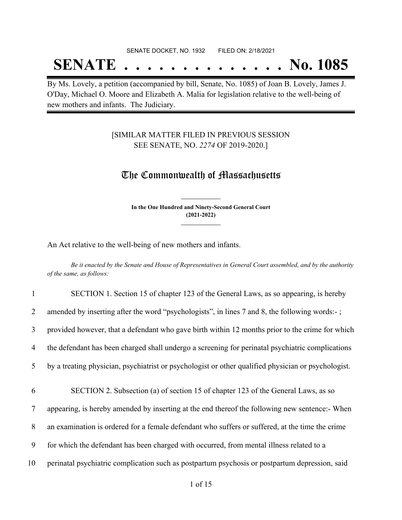#### SENATE DOCKET, NO. 1932 FILED ON: 2/18/2021

## **SENATE . . . . . . . . . . . . . . No. 1085**

By Ms. Lovely, a petition (accompanied by bill, Senate, No. 1085) of Joan B. Lovely, James J. O'Day, Michael O. Moore and Elizabeth A. Malia for legislation relative to the well-being of new mothers and infants. The Judiciary.

### [SIMILAR MATTER FILED IN PREVIOUS SESSION SEE SENATE, NO. *2274* OF 2019-2020.]

### The Commonwealth of Massachusetts

**In the One Hundred and Ninety-Second General Court (2021-2022) \_\_\_\_\_\_\_\_\_\_\_\_\_\_\_**

**\_\_\_\_\_\_\_\_\_\_\_\_\_\_\_**

An Act relative to the well-being of new mothers and infants.

Be it enacted by the Senate and House of Representatives in General Court assembled, and by the authority *of the same, as follows:*

| $\mathbf{1}$ | SECTION 1. Section 15 of chapter 123 of the General Laws, as so appearing, is hereby                |
|--------------|-----------------------------------------------------------------------------------------------------|
| 2            | amended by inserting after the word "psychologists", in lines 7 and 8, the following words:-;       |
| 3            | provided however, that a defendant who gave birth within 12 months prior to the crime for which     |
| 4            | the defendant has been charged shall undergo a screening for perinatal psychiatric complications    |
| 5            | by a treating physician, psychiatrist or psychologist or other qualified physician or psychologist. |
| 6            | SECTION 2. Subsection (a) of section 15 of chapter 123 of the General Laws, as so                   |
| 7            | appearing, is hereby amended by inserting at the end thereof the following new sentence:- When      |
| 8            | an examination is ordered for a female defendant who suffers or suffered, at the time the crime     |
| 9            | for which the defendant has been charged with occurred, from mental illness related to a            |
| 10           |                                                                                                     |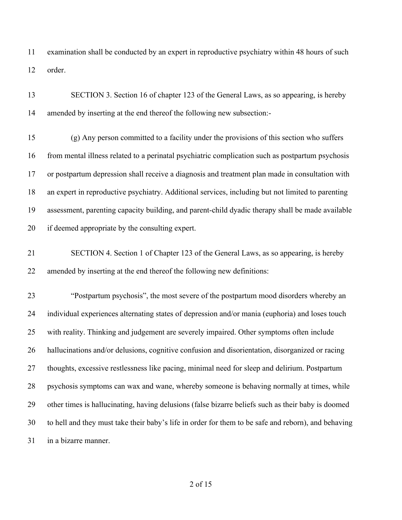examination shall be conducted by an expert in reproductive psychiatry within 48 hours of such order.

| 13 | SECTION 3. Section 16 of chapter 123 of the General Laws, as so appearing, is hereby                |
|----|-----------------------------------------------------------------------------------------------------|
| 14 | amended by inserting at the end thereof the following new subsection:-                              |
| 15 | (g) Any person committed to a facility under the provisions of this section who suffers             |
| 16 | from mental illness related to a perinatal psychiatric complication such as postpartum psychosis    |
| 17 | or postpartum depression shall receive a diagnosis and treatment plan made in consultation with     |
| 18 | an expert in reproductive psychiatry. Additional services, including but not limited to parenting   |
| 19 | assessment, parenting capacity building, and parent-child dyadic therapy shall be made available    |
| 20 | if deemed appropriate by the consulting expert.                                                     |
| 21 | SECTION 4. Section 1 of Chapter 123 of the General Laws, as so appearing, is hereby                 |
| 22 | amended by inserting at the end thereof the following new definitions:                              |
| 23 | "Postpartum psychosis", the most severe of the postpartum mood disorders whereby an                 |
| 24 | individual experiences alternating states of depression and/or mania (euphoria) and loses touch     |
| 25 | with reality. Thinking and judgement are severely impaired. Other symptoms often include            |
| 26 | hallucinations and/or delusions, cognitive confusion and disorientation, disorganized or racing     |
| 27 | thoughts, excessive restlessness like pacing, minimal need for sleep and delirium. Postpartum       |
| 28 | psychosis symptoms can wax and wane, whereby someone is behaving normally at times, while           |
| 29 | other times is hallucinating, having delusions (false bizarre beliefs such as their baby is doomed  |
| 30 | to hell and they must take their baby's life in order for them to be safe and reborn), and behaving |
| 31 | in a bizarre manner.                                                                                |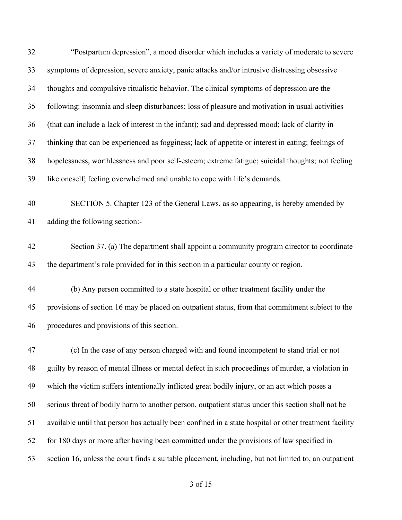"Postpartum depression", a mood disorder which includes a variety of moderate to severe symptoms of depression, severe anxiety, panic attacks and/or intrusive distressing obsessive thoughts and compulsive ritualistic behavior. The clinical symptoms of depression are the following: insomnia and sleep disturbances; loss of pleasure and motivation in usual activities (that can include a lack of interest in the infant); sad and depressed mood; lack of clarity in thinking that can be experienced as fogginess; lack of appetite or interest in eating; feelings of hopelessness, worthlessness and poor self-esteem; extreme fatigue; suicidal thoughts; not feeling like oneself; feeling overwhelmed and unable to cope with life's demands. SECTION 5. Chapter 123 of the General Laws, as so appearing, is hereby amended by adding the following section:- Section 37. (a) The department shall appoint a community program director to coordinate the department's role provided for in this section in a particular county or region. (b) Any person committed to a state hospital or other treatment facility under the provisions of section 16 may be placed on outpatient status, from that commitment subject to the procedures and provisions of this section. (c) In the case of any person charged with and found incompetent to stand trial or not guilty by reason of mental illness or mental defect in such proceedings of murder, a violation in which the victim suffers intentionally inflicted great bodily injury, or an act which poses a serious threat of bodily harm to another person, outpatient status under this section shall not be available until that person has actually been confined in a state hospital or other treatment facility 52 for 180 days or more after having been committed under the provisions of law specified in section 16, unless the court finds a suitable placement, including, but not limited to, an outpatient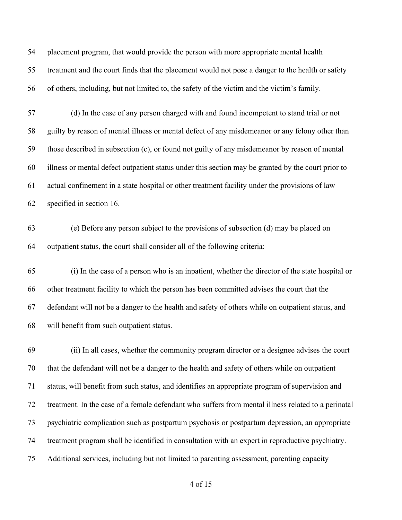placement program, that would provide the person with more appropriate mental health treatment and the court finds that the placement would not pose a danger to the health or safety of others, including, but not limited to, the safety of the victim and the victim's family.

 (d) In the case of any person charged with and found incompetent to stand trial or not guilty by reason of mental illness or mental defect of any misdemeanor or any felony other than those described in subsection (c), or found not guilty of any misdemeanor by reason of mental illness or mental defect outpatient status under this section may be granted by the court prior to actual confinement in a state hospital or other treatment facility under the provisions of law specified in section 16.

 (e) Before any person subject to the provisions of subsection (d) may be placed on outpatient status, the court shall consider all of the following criteria:

 (i) In the case of a person who is an inpatient, whether the director of the state hospital or other treatment facility to which the person has been committed advises the court that the defendant will not be a danger to the health and safety of others while on outpatient status, and will benefit from such outpatient status.

 (ii) In all cases, whether the community program director or a designee advises the court that the defendant will not be a danger to the health and safety of others while on outpatient status, will benefit from such status, and identifies an appropriate program of supervision and treatment. In the case of a female defendant who suffers from mental illness related to a perinatal psychiatric complication such as postpartum psychosis or postpartum depression, an appropriate treatment program shall be identified in consultation with an expert in reproductive psychiatry. Additional services, including but not limited to parenting assessment, parenting capacity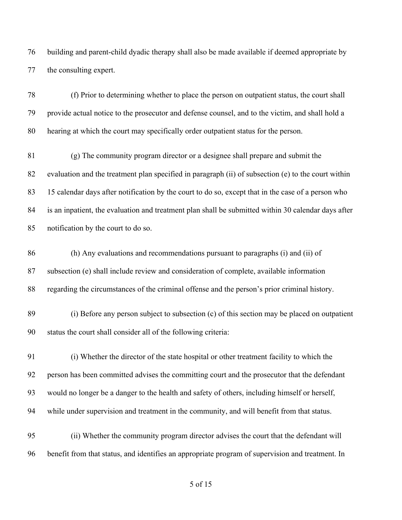building and parent-child dyadic therapy shall also be made available if deemed appropriate by the consulting expert.

 (f) Prior to determining whether to place the person on outpatient status, the court shall provide actual notice to the prosecutor and defense counsel, and to the victim, and shall hold a hearing at which the court may specifically order outpatient status for the person.

 (g) The community program director or a designee shall prepare and submit the evaluation and the treatment plan specified in paragraph (ii) of subsection (e) to the court within 15 calendar days after notification by the court to do so, except that in the case of a person who is an inpatient, the evaluation and treatment plan shall be submitted within 30 calendar days after notification by the court to do so.

 (h) Any evaluations and recommendations pursuant to paragraphs (i) and (ii) of subsection (e) shall include review and consideration of complete, available information regarding the circumstances of the criminal offense and the person's prior criminal history.

 (i) Before any person subject to subsection (c) of this section may be placed on outpatient status the court shall consider all of the following criteria:

 (i) Whether the director of the state hospital or other treatment facility to which the person has been committed advises the committing court and the prosecutor that the defendant would no longer be a danger to the health and safety of others, including himself or herself, while under supervision and treatment in the community, and will benefit from that status.

 (ii) Whether the community program director advises the court that the defendant will benefit from that status, and identifies an appropriate program of supervision and treatment. In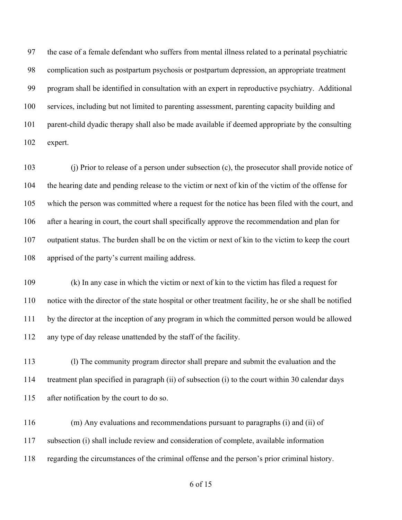the case of a female defendant who suffers from mental illness related to a perinatal psychiatric complication such as postpartum psychosis or postpartum depression, an appropriate treatment program shall be identified in consultation with an expert in reproductive psychiatry. Additional services, including but not limited to parenting assessment, parenting capacity building and parent-child dyadic therapy shall also be made available if deemed appropriate by the consulting expert.

 (j) Prior to release of a person under subsection (c), the prosecutor shall provide notice of the hearing date and pending release to the victim or next of kin of the victim of the offense for which the person was committed where a request for the notice has been filed with the court, and after a hearing in court, the court shall specifically approve the recommendation and plan for outpatient status. The burden shall be on the victim or next of kin to the victim to keep the court apprised of the party's current mailing address.

 (k) In any case in which the victim or next of kin to the victim has filed a request for notice with the director of the state hospital or other treatment facility, he or she shall be notified by the director at the inception of any program in which the committed person would be allowed any type of day release unattended by the staff of the facility.

 (l) The community program director shall prepare and submit the evaluation and the treatment plan specified in paragraph (ii) of subsection (i) to the court within 30 calendar days after notification by the court to do so.

 (m) Any evaluations and recommendations pursuant to paragraphs (i) and (ii) of subsection (i) shall include review and consideration of complete, available information regarding the circumstances of the criminal offense and the person's prior criminal history.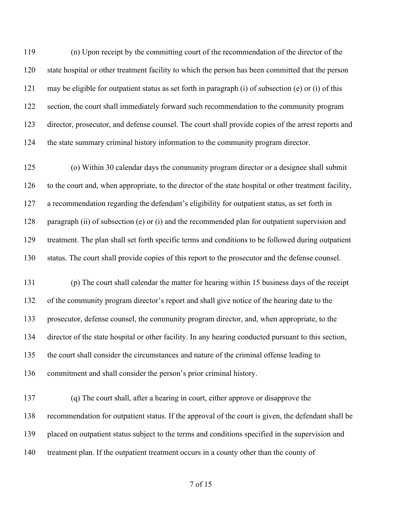(n) Upon receipt by the committing court of the recommendation of the director of the state hospital or other treatment facility to which the person has been committed that the person may be eligible for outpatient status as set forth in paragraph (i) of subsection (e) or (i) of this 122 section, the court shall immediately forward such recommendation to the community program director, prosecutor, and defense counsel. The court shall provide copies of the arrest reports and the state summary criminal history information to the community program director.

 (o) Within 30 calendar days the community program director or a designee shall submit to the court and, when appropriate, to the director of the state hospital or other treatment facility, a recommendation regarding the defendant's eligibility for outpatient status, as set forth in 128 paragraph (ii) of subsection (e) or (i) and the recommended plan for outpatient supervision and treatment. The plan shall set forth specific terms and conditions to be followed during outpatient status. The court shall provide copies of this report to the prosecutor and the defense counsel.

 (p) The court shall calendar the matter for hearing within 15 business days of the receipt of the community program director's report and shall give notice of the hearing date to the prosecutor, defense counsel, the community program director, and, when appropriate, to the director of the state hospital or other facility. In any hearing conducted pursuant to this section, the court shall consider the circumstances and nature of the criminal offense leading to commitment and shall consider the person's prior criminal history.

 (q) The court shall, after a hearing in court, either approve or disapprove the recommendation for outpatient status. If the approval of the court is given, the defendant shall be placed on outpatient status subject to the terms and conditions specified in the supervision and treatment plan. If the outpatient treatment occurs in a county other than the county of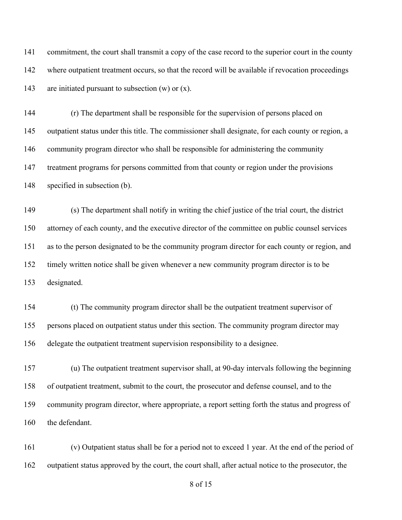commitment, the court shall transmit a copy of the case record to the superior court in the county where outpatient treatment occurs, so that the record will be available if revocation proceedings 143 are initiated pursuant to subsection  $(w)$  or  $(x)$ .

 (r) The department shall be responsible for the supervision of persons placed on outpatient status under this title. The commissioner shall designate, for each county or region, a community program director who shall be responsible for administering the community treatment programs for persons committed from that county or region under the provisions specified in subsection (b).

 (s) The department shall notify in writing the chief justice of the trial court, the district attorney of each county, and the executive director of the committee on public counsel services as to the person designated to be the community program director for each county or region, and timely written notice shall be given whenever a new community program director is to be designated.

 (t) The community program director shall be the outpatient treatment supervisor of persons placed on outpatient status under this section. The community program director may delegate the outpatient treatment supervision responsibility to a designee.

 (u) The outpatient treatment supervisor shall, at 90-day intervals following the beginning of outpatient treatment, submit to the court, the prosecutor and defense counsel, and to the community program director, where appropriate, a report setting forth the status and progress of 160 the defendant.

 (v) Outpatient status shall be for a period not to exceed 1 year. At the end of the period of outpatient status approved by the court, the court shall, after actual notice to the prosecutor, the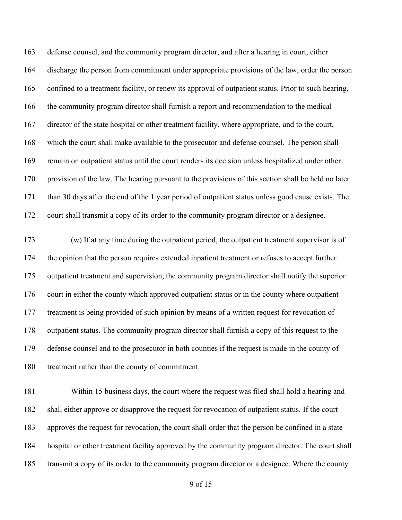defense counsel, and the community program director, and after a hearing in court, either discharge the person from commitment under appropriate provisions of the law, order the person confined to a treatment facility, or renew its approval of outpatient status. Prior to such hearing, the community program director shall furnish a report and recommendation to the medical director of the state hospital or other treatment facility, where appropriate, and to the court, which the court shall make available to the prosecutor and defense counsel. The person shall remain on outpatient status until the court renders its decision unless hospitalized under other provision of the law. The hearing pursuant to the provisions of this section shall be held no later than 30 days after the end of the 1 year period of outpatient status unless good cause exists. The court shall transmit a copy of its order to the community program director or a designee.

 (w) If at any time during the outpatient period, the outpatient treatment supervisor is of the opinion that the person requires extended inpatient treatment or refuses to accept further outpatient treatment and supervision, the community program director shall notify the superior court in either the county which approved outpatient status or in the county where outpatient treatment is being provided of such opinion by means of a written request for revocation of outpatient status. The community program director shall furnish a copy of this request to the defense counsel and to the prosecutor in both counties if the request is made in the county of treatment rather than the county of commitment.

 Within 15 business days, the court where the request was filed shall hold a hearing and shall either approve or disapprove the request for revocation of outpatient status. If the court approves the request for revocation, the court shall order that the person be confined in a state hospital or other treatment facility approved by the community program director. The court shall transmit a copy of its order to the community program director or a designee. Where the county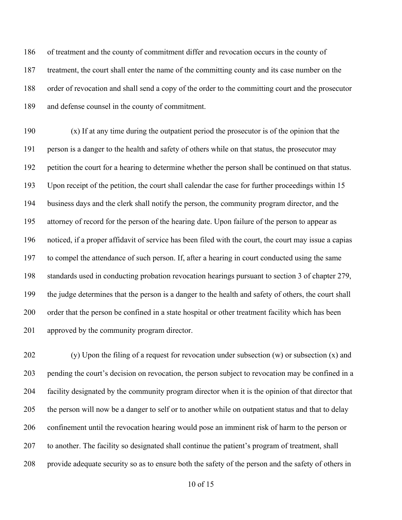of treatment and the county of commitment differ and revocation occurs in the county of treatment, the court shall enter the name of the committing county and its case number on the order of revocation and shall send a copy of the order to the committing court and the prosecutor and defense counsel in the county of commitment.

 (x) If at any time during the outpatient period the prosecutor is of the opinion that the person is a danger to the health and safety of others while on that status, the prosecutor may petition the court for a hearing to determine whether the person shall be continued on that status. Upon receipt of the petition, the court shall calendar the case for further proceedings within 15 business days and the clerk shall notify the person, the community program director, and the attorney of record for the person of the hearing date. Upon failure of the person to appear as noticed, if a proper affidavit of service has been filed with the court, the court may issue a capias to compel the attendance of such person. If, after a hearing in court conducted using the same standards used in conducting probation revocation hearings pursuant to section 3 of chapter 279, the judge determines that the person is a danger to the health and safety of others, the court shall order that the person be confined in a state hospital or other treatment facility which has been approved by the community program director.

202 (y) Upon the filing of a request for revocation under subsection (w) or subsection  $(x)$  and pending the court's decision on revocation, the person subject to revocation may be confined in a facility designated by the community program director when it is the opinion of that director that the person will now be a danger to self or to another while on outpatient status and that to delay confinement until the revocation hearing would pose an imminent risk of harm to the person or 207 to another. The facility so designated shall continue the patient's program of treatment, shall provide adequate security so as to ensure both the safety of the person and the safety of others in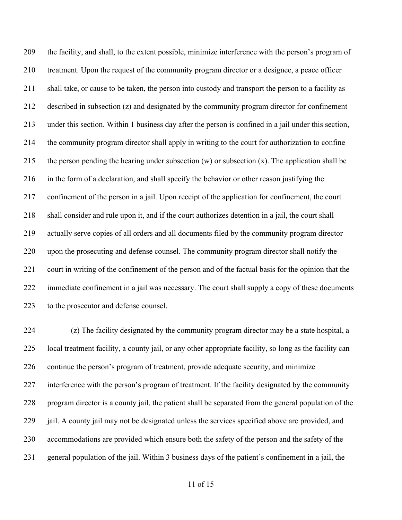the facility, and shall, to the extent possible, minimize interference with the person's program of treatment. Upon the request of the community program director or a designee, a peace officer shall take, or cause to be taken, the person into custody and transport the person to a facility as described in subsection (z) and designated by the community program director for confinement under this section. Within 1 business day after the person is confined in a jail under this section, the community program director shall apply in writing to the court for authorization to confine 215 the person pending the hearing under subsection  $(w)$  or subsection  $(x)$ . The application shall be in the form of a declaration, and shall specify the behavior or other reason justifying the confinement of the person in a jail. Upon receipt of the application for confinement, the court shall consider and rule upon it, and if the court authorizes detention in a jail, the court shall actually serve copies of all orders and all documents filed by the community program director upon the prosecuting and defense counsel. The community program director shall notify the court in writing of the confinement of the person and of the factual basis for the opinion that the immediate confinement in a jail was necessary. The court shall supply a copy of these documents to the prosecutor and defense counsel.

 (z) The facility designated by the community program director may be a state hospital, a local treatment facility, a county jail, or any other appropriate facility, so long as the facility can continue the person's program of treatment, provide adequate security, and minimize interference with the person's program of treatment. If the facility designated by the community program director is a county jail, the patient shall be separated from the general population of the jail. A county jail may not be designated unless the services specified above are provided, and accommodations are provided which ensure both the safety of the person and the safety of the general population of the jail. Within 3 business days of the patient's confinement in a jail, the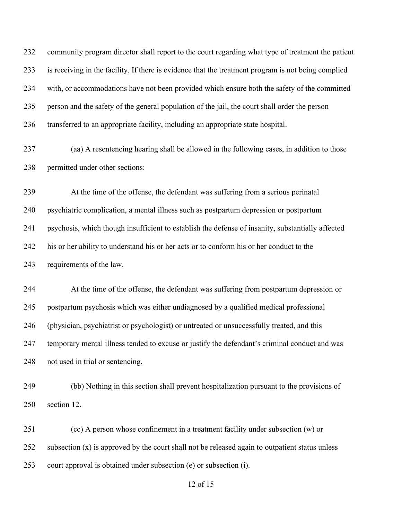community program director shall report to the court regarding what type of treatment the patient is receiving in the facility. If there is evidence that the treatment program is not being complied with, or accommodations have not been provided which ensure both the safety of the committed person and the safety of the general population of the jail, the court shall order the person transferred to an appropriate facility, including an appropriate state hospital.

 (aa) A resentencing hearing shall be allowed in the following cases, in addition to those permitted under other sections:

At the time of the offense, the defendant was suffering from a serious perinatal

psychiatric complication, a mental illness such as postpartum depression or postpartum

psychosis, which though insufficient to establish the defense of insanity, substantially affected

his or her ability to understand his or her acts or to conform his or her conduct to the

requirements of the law.

 At the time of the offense, the defendant was suffering from postpartum depression or postpartum psychosis which was either undiagnosed by a qualified medical professional (physician, psychiatrist or psychologist) or untreated or unsuccessfully treated, and this temporary mental illness tended to excuse or justify the defendant's criminal conduct and was not used in trial or sentencing.

 (bb) Nothing in this section shall prevent hospitalization pursuant to the provisions of section 12.

 (cc) A person whose confinement in a treatment facility under subsection (w) or 252 subsection (x) is approved by the court shall not be released again to outpatient status unless court approval is obtained under subsection (e) or subsection (i).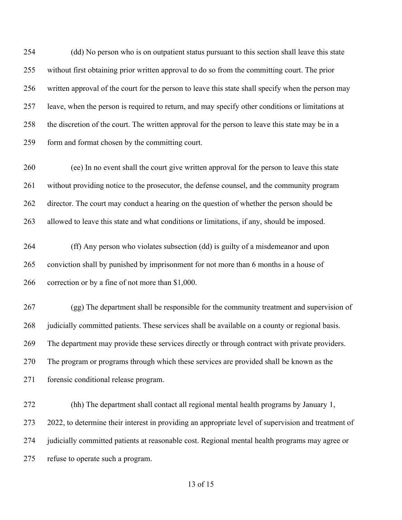(dd) No person who is on outpatient status pursuant to this section shall leave this state without first obtaining prior written approval to do so from the committing court. The prior written approval of the court for the person to leave this state shall specify when the person may leave, when the person is required to return, and may specify other conditions or limitations at the discretion of the court. The written approval for the person to leave this state may be in a form and format chosen by the committing court.

 (ee) In no event shall the court give written approval for the person to leave this state without providing notice to the prosecutor, the defense counsel, and the community program 262 director. The court may conduct a hearing on the question of whether the person should be allowed to leave this state and what conditions or limitations, if any, should be imposed.

 (ff) Any person who violates subsection (dd) is guilty of a misdemeanor and upon conviction shall by punished by imprisonment for not more than 6 months in a house of correction or by a fine of not more than \$1,000.

 (gg) The department shall be responsible for the community treatment and supervision of 268 judicially committed patients. These services shall be available on a county or regional basis. The department may provide these services directly or through contract with private providers. The program or programs through which these services are provided shall be known as the forensic conditional release program.

 (hh) The department shall contact all regional mental health programs by January 1, 2022, to determine their interest in providing an appropriate level of supervision and treatment of judicially committed patients at reasonable cost. Regional mental health programs may agree or refuse to operate such a program.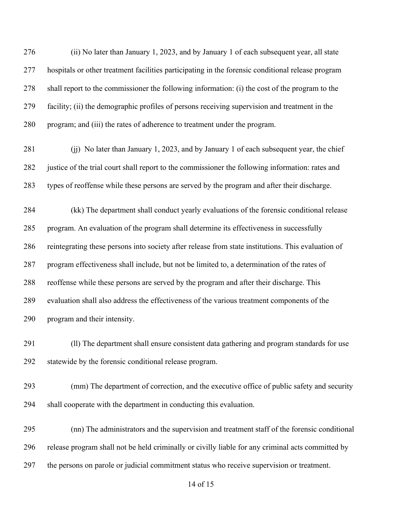(ii) No later than January 1, 2023, and by January 1 of each subsequent year, all state hospitals or other treatment facilities participating in the forensic conditional release program shall report to the commissioner the following information: (i) the cost of the program to the facility; (ii) the demographic profiles of persons receiving supervision and treatment in the program; and (iii) the rates of adherence to treatment under the program.

281 (ii) No later than January 1, 2023, and by January 1 of each subsequent year, the chief justice of the trial court shall report to the commissioner the following information: rates and types of reoffense while these persons are served by the program and after their discharge.

 (kk) The department shall conduct yearly evaluations of the forensic conditional release program. An evaluation of the program shall determine its effectiveness in successfully reintegrating these persons into society after release from state institutions. This evaluation of program effectiveness shall include, but not be limited to, a determination of the rates of reoffense while these persons are served by the program and after their discharge. This evaluation shall also address the effectiveness of the various treatment components of the program and their intensity.

 (ll) The department shall ensure consistent data gathering and program standards for use statewide by the forensic conditional release program.

 (mm) The department of correction, and the executive office of public safety and security shall cooperate with the department in conducting this evaluation.

 (nn) The administrators and the supervision and treatment staff of the forensic conditional release program shall not be held criminally or civilly liable for any criminal acts committed by the persons on parole or judicial commitment status who receive supervision or treatment.